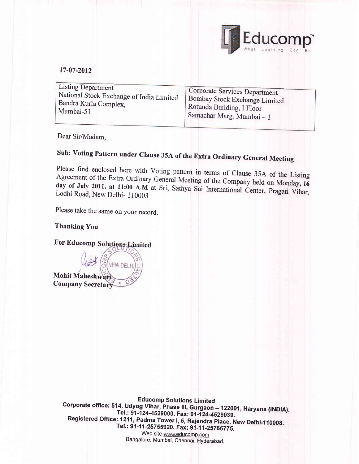

#### 17-07-2012

| <b>Listing Department</b>                | Corporate Services Department |
|------------------------------------------|-------------------------------|
| National Stock Exchange of India Limited | Bombay Stock Exchange Limited |
| Bandra Kurla Complex,                    | Rotunda Building, I Floor     |
| Mumbai-51                                | Samachar Marg, Mumbai - 1     |

Dear Sir/Madam,

# Sub: Voting Pattern under Clause 35A of the Extra Ordinary General Meeting

Please find enclosed here with Voting pattern in terms of Clause 35A of the Listing<br>Agreement of the Extra Ordinary General Meeting of the Company held on Monday 16 Agreement of the Extra Ordinary General Meeting of the Company held on Monday, 16 day of July 2011, at 11:00 A.M at Sri, Sathya Sai International Center, Pragati Vihar,<br>Lodhi Road, New Delhi- 110003

Please take the same on your record.

#### Thanking You

For Educomp

NEW DFL Mohit Mahesh Company Secreta

> Educomp Solutions Limited<br>Corporate office: 514, Udyog Vihar, Phase III, Gurgaon - 122001, Haryana (INDIA).<br>Tel.: 91-124-4529000. Fax: 91-124-4529039. Registered Office: 1211, Padma Tower I, 5, Rajendra Place, New Delhi-110008.<br>Tel.: 91-11-25755920. Fax: 91-11-25766775. Web site www.educomp.com Bangalore, Mumbai, Chennai, Hyderabad.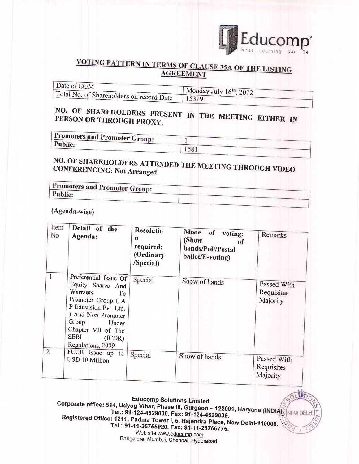

#### VOTING PATTERN IN TERMS OF CLAUSE 35A OF THE LISTING **AGREEMENT**

| Date of EGM                              |                                     |
|------------------------------------------|-------------------------------------|
|                                          | Monday July $16^{\text{th}}$ , 2012 |
| Total No. of Shareholders on record Date |                                     |

## NO. OF SHAREHOLDERS PRESENT IN THE MEETING EITHER IN PERSON OR THROUGH PROXY:

| <b>Promoters and Promoter Group:</b> |     |  |
|--------------------------------------|-----|--|
| <b>Public:</b>                       |     |  |
|                                      | 158 |  |

### NO. OF SHAREHOLDERS ATTENDED THE MEETING THROUGH VIDEO **CONFERENCING: Not Arranged**

| Promoters and Promoter Group: |  |
|-------------------------------|--|
| <b>Public:</b>                |  |
|                               |  |

(Agenda-wise)

| Item<br>No     | Detail of the<br>Agenda:                                                                                                                                                                                  | <b>Resolutio</b><br>n<br>required:<br>(Ordinary<br>/Special) | Mode of<br>voting:<br>(Show<br>of<br>hands/Poll/Postal<br>ballot/E-voting) | Remarks                               |
|----------------|-----------------------------------------------------------------------------------------------------------------------------------------------------------------------------------------------------------|--------------------------------------------------------------|----------------------------------------------------------------------------|---------------------------------------|
|                | Preferential Issue Of<br>Equity Shares And<br>Warrants<br>To<br>Promoter Group (A<br>P Eduvision Pvt. Ltd.<br>) And Non Promoter<br>Group Under<br>Chapter VII of The<br>SEBI (ICDR)<br>Regulations, 2009 | Special                                                      | Show of hands                                                              | Passed With<br>Requisites<br>Majority |
| $\overline{2}$ | FCCB Issue up to<br>USD 10 Million                                                                                                                                                                        | Special                                                      | Show of hands                                                              | Passed With<br>Requisites<br>Majority |

**Educomp Solutions Limited** Corporate office: 514, Udyog Vihar, Phase III, Gurgaon - 122001, Haryana (INDIA). Tel.: 91-124-4529000. Fax: 91-124-4529039. NEW DE Registered Office: 1211, Padma Tower I, 5, Rajendra Place, New Delhi-110008. Tel.: 91-11-25755920. Fax: 91-11-25766775. Web site www.educomp.com Bangalore, Mumbai, Chennai, Hyderabad.